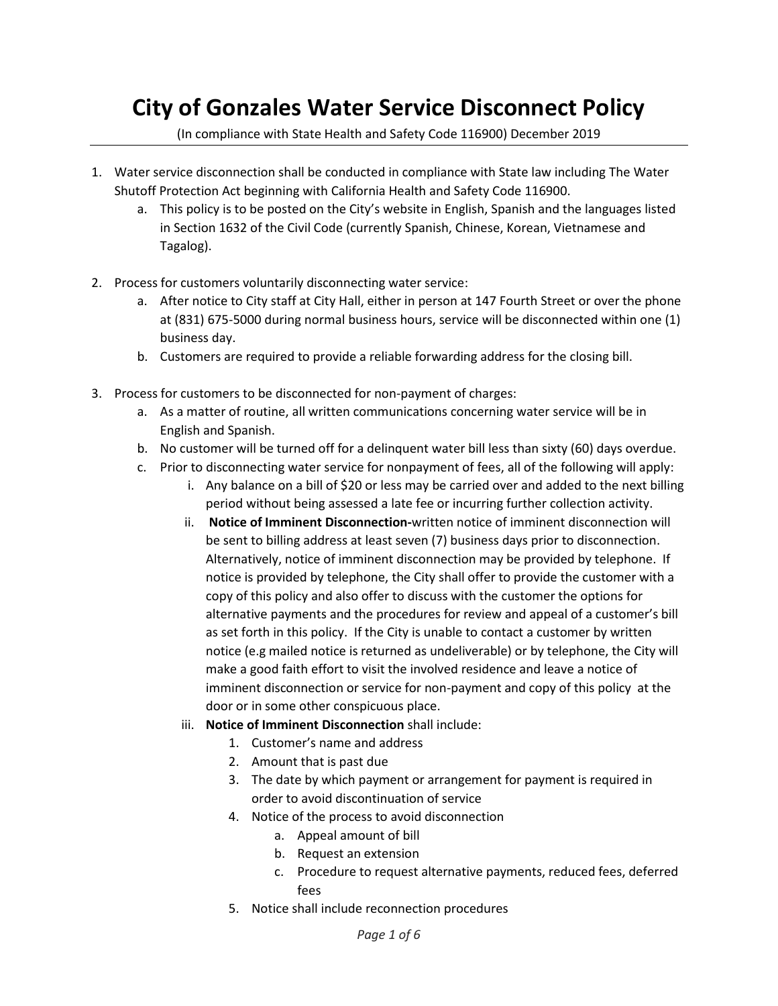## **City of Gonzales Water Service Disconnect Policy**

(In compliance with State Health and Safety Code 116900) December 2019

- 1. Water service disconnection shall be conducted in compliance with State law including The Water Shutoff Protection Act beginning with California Health and Safety Code 116900.
	- a. This policy is to be posted on the City's website in English, Spanish and the languages listed in Section 1632 of the Civil Code (currently Spanish, Chinese, Korean, Vietnamese and Tagalog).
- 2. Process for customers voluntarily disconnecting water service:
	- a. After notice to City staff at City Hall, either in person at 147 Fourth Street or over the phone at (831) 675-5000 during normal business hours, service will be disconnected within one (1) business day.
	- b. Customers are required to provide a reliable forwarding address for the closing bill.
- 3. Process for customers to be disconnected for non-payment of charges:
	- a. As a matter of routine, all written communications concerning water service will be in English and Spanish.
	- b. No customer will be turned off for a delinquent water bill less than sixty (60) days overdue.
	- c. Prior to disconnecting water service for nonpayment of fees, all of the following will apply:
		- i. Any balance on a bill of \$20 or less may be carried over and added to the next billing period without being assessed a late fee or incurring further collection activity.
		- ii. **Notice of Imminent Disconnection-**written notice of imminent disconnection will be sent to billing address at least seven (7) business days prior to disconnection. Alternatively, notice of imminent disconnection may be provided by telephone. If notice is provided by telephone, the City shall offer to provide the customer with a copy of this policy and also offer to discuss with the customer the options for alternative payments and the procedures for review and appeal of a customer's bill as set forth in this policy. If the City is unable to contact a customer by written notice (e.g mailed notice is returned as undeliverable) or by telephone, the City will make a good faith effort to visit the involved residence and leave a notice of imminent disconnection or service for non-payment and copy of this policy at the door or in some other conspicuous place.
		- iii. **Notice of Imminent Disconnection** shall include:
			- 1. Customer's name and address
			- 2. Amount that is past due
			- 3. The date by which payment or arrangement for payment is required in order to avoid discontinuation of service
			- 4. Notice of the process to avoid disconnection
				- a. Appeal amount of bill
				- b. Request an extension
				- c. Procedure to request alternative payments, reduced fees, deferred fees
			- 5. Notice shall include reconnection procedures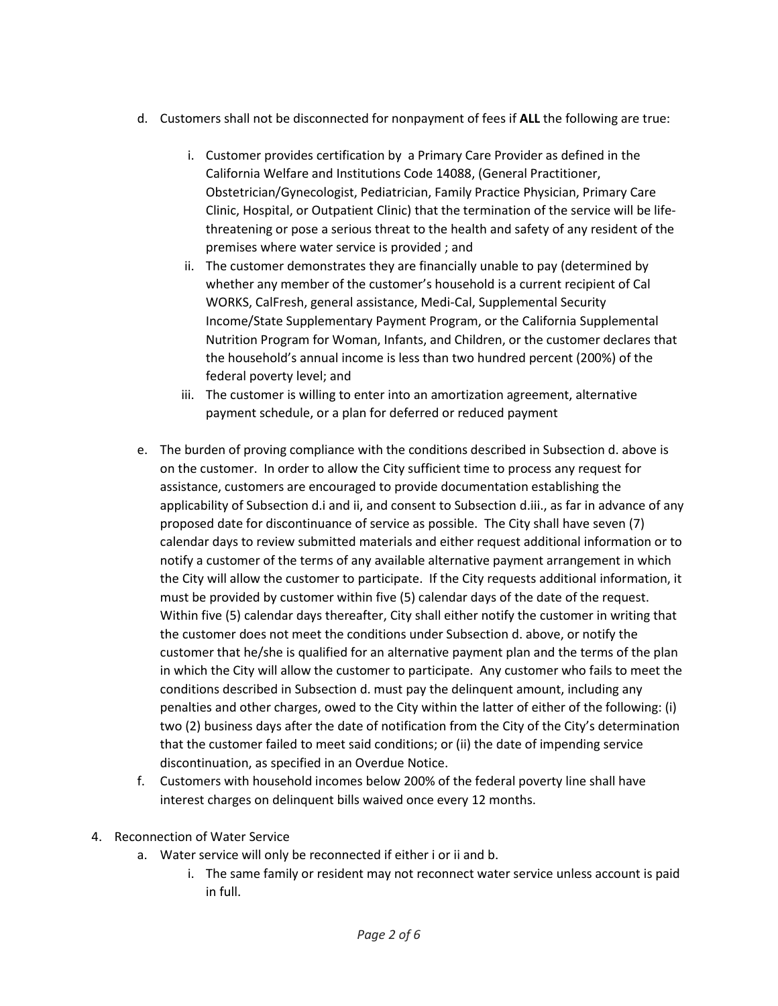- d. Customers shall not be disconnected for nonpayment of fees if **ALL** the following are true:
	- i. Customer provides certification by a Primary Care Provider as defined in the California Welfare and Institutions Code 14088, (General Practitioner, Obstetrician/Gynecologist, Pediatrician, Family Practice Physician, Primary Care Clinic, Hospital, or Outpatient Clinic) that the termination of the service will be lifethreatening or pose a serious threat to the health and safety of any resident of the premises where water service is provided ; and
	- ii. The customer demonstrates they are financially unable to pay (determined by whether any member of the customer's household is a current recipient of Cal WORKS, CalFresh, general assistance, Medi-Cal, Supplemental Security Income/State Supplementary Payment Program, or the California Supplemental Nutrition Program for Woman, Infants, and Children, or the customer declares that the household's annual income is less than two hundred percent (200%) of the federal poverty level; and
	- iii. The customer is willing to enter into an amortization agreement, alternative payment schedule, or a plan for deferred or reduced payment
- e. The burden of proving compliance with the conditions described in Subsection d. above is on the customer. In order to allow the City sufficient time to process any request for assistance, customers are encouraged to provide documentation establishing the applicability of Subsection d.i and ii, and consent to Subsection d.iii., as far in advance of any proposed date for discontinuance of service as possible. The City shall have seven (7) calendar days to review submitted materials and either request additional information or to notify a customer of the terms of any available alternative payment arrangement in which the City will allow the customer to participate. If the City requests additional information, it must be provided by customer within five (5) calendar days of the date of the request. Within five (5) calendar days thereafter, City shall either notify the customer in writing that the customer does not meet the conditions under Subsection d. above, or notify the customer that he/she is qualified for an alternative payment plan and the terms of the plan in which the City will allow the customer to participate. Any customer who fails to meet the conditions described in Subsection d. must pay the delinquent amount, including any penalties and other charges, owed to the City within the latter of either of the following: (i) two (2) business days after the date of notification from the City of the City's determination that the customer failed to meet said conditions; or (ii) the date of impending service discontinuation, as specified in an Overdue Notice.
- f. Customers with household incomes below 200% of the federal poverty line shall have interest charges on delinquent bills waived once every 12 months.
- 4. Reconnection of Water Service
	- a. Water service will only be reconnected if either i or ii and b.
		- i. The same family or resident may not reconnect water service unless account is paid in full.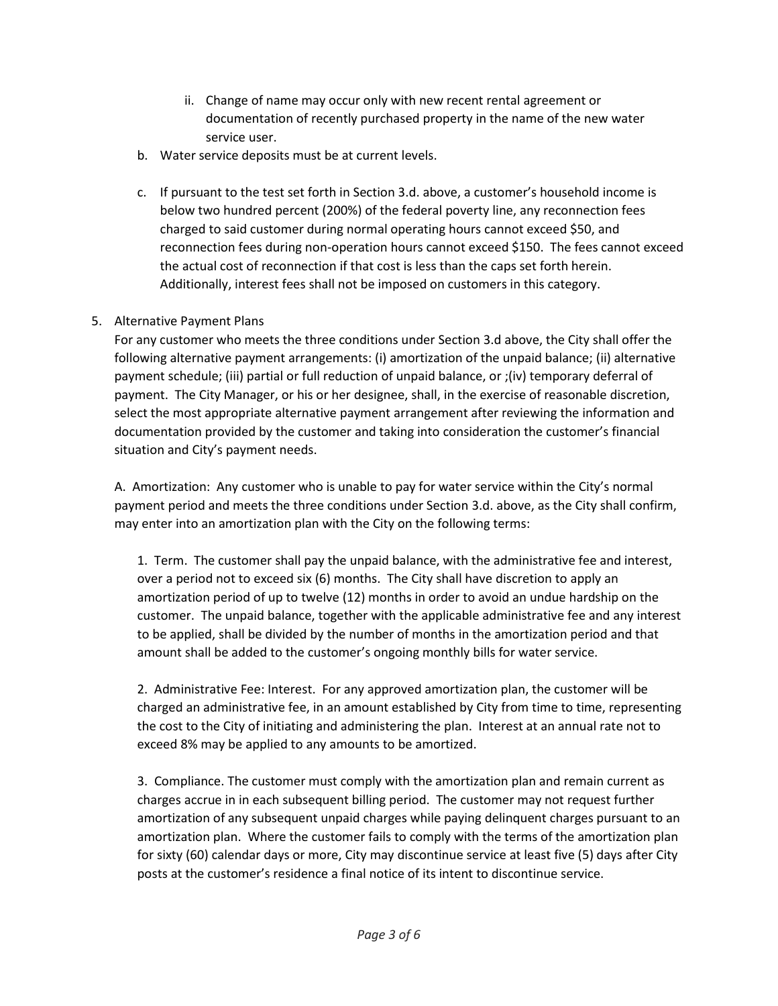- ii. Change of name may occur only with new recent rental agreement or documentation of recently purchased property in the name of the new water service user.
- b. Water service deposits must be at current levels.
- c. If pursuant to the test set forth in Section 3.d. above, a customer's household income is below two hundred percent (200%) of the federal poverty line, any reconnection fees charged to said customer during normal operating hours cannot exceed \$50, and reconnection fees during non-operation hours cannot exceed \$150. The fees cannot exceed the actual cost of reconnection if that cost is less than the caps set forth herein. Additionally, interest fees shall not be imposed on customers in this category.

## 5. Alternative Payment Plans

For any customer who meets the three conditions under Section 3.d above, the City shall offer the following alternative payment arrangements: (i) amortization of the unpaid balance; (ii) alternative payment schedule; (iii) partial or full reduction of unpaid balance, or ;(iv) temporary deferral of payment. The City Manager, or his or her designee, shall, in the exercise of reasonable discretion, select the most appropriate alternative payment arrangement after reviewing the information and documentation provided by the customer and taking into consideration the customer's financial situation and City's payment needs.

A. Amortization: Any customer who is unable to pay for water service within the City's normal payment period and meets the three conditions under Section 3.d. above, as the City shall confirm, may enter into an amortization plan with the City on the following terms:

1. Term. The customer shall pay the unpaid balance, with the administrative fee and interest, over a period not to exceed six (6) months. The City shall have discretion to apply an amortization period of up to twelve (12) months in order to avoid an undue hardship on the customer. The unpaid balance, together with the applicable administrative fee and any interest to be applied, shall be divided by the number of months in the amortization period and that amount shall be added to the customer's ongoing monthly bills for water service.

2. Administrative Fee: Interest. For any approved amortization plan, the customer will be charged an administrative fee, in an amount established by City from time to time, representing the cost to the City of initiating and administering the plan. Interest at an annual rate not to exceed 8% may be applied to any amounts to be amortized.

3. Compliance. The customer must comply with the amortization plan and remain current as charges accrue in in each subsequent billing period. The customer may not request further amortization of any subsequent unpaid charges while paying delinquent charges pursuant to an amortization plan. Where the customer fails to comply with the terms of the amortization plan for sixty (60) calendar days or more, City may discontinue service at least five (5) days after City posts at the customer's residence a final notice of its intent to discontinue service.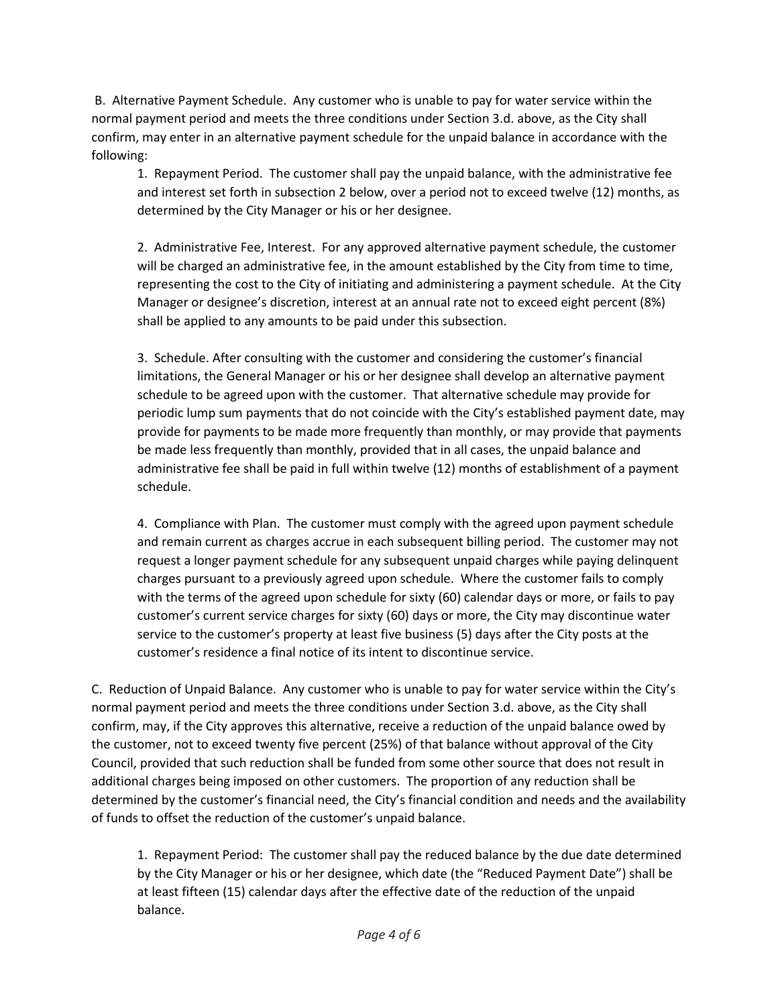B. Alternative Payment Schedule. Any customer who is unable to pay for water service within the normal payment period and meets the three conditions under Section 3.d. above, as the City shall confirm, may enter in an alternative payment schedule for the unpaid balance in accordance with the following:

1. Repayment Period. The customer shall pay the unpaid balance, with the administrative fee and interest set forth in subsection 2 below, over a period not to exceed twelve (12) months, as determined by the City Manager or his or her designee.

2. Administrative Fee, Interest. For any approved alternative payment schedule, the customer will be charged an administrative fee, in the amount established by the City from time to time, representing the cost to the City of initiating and administering a payment schedule. At the City Manager or designee's discretion, interest at an annual rate not to exceed eight percent (8%) shall be applied to any amounts to be paid under this subsection.

3. Schedule. After consulting with the customer and considering the customer's financial limitations, the General Manager or his or her designee shall develop an alternative payment schedule to be agreed upon with the customer. That alternative schedule may provide for periodic lump sum payments that do not coincide with the City's established payment date, may provide for payments to be made more frequently than monthly, or may provide that payments be made less frequently than monthly, provided that in all cases, the unpaid balance and administrative fee shall be paid in full within twelve (12) months of establishment of a payment schedule.

4. Compliance with Plan. The customer must comply with the agreed upon payment schedule and remain current as charges accrue in each subsequent billing period. The customer may not request a longer payment schedule for any subsequent unpaid charges while paying delinquent charges pursuant to a previously agreed upon schedule. Where the customer fails to comply with the terms of the agreed upon schedule for sixty (60) calendar days or more, or fails to pay customer's current service charges for sixty (60) days or more, the City may discontinue water service to the customer's property at least five business (5) days after the City posts at the customer's residence a final notice of its intent to discontinue service.

C. Reduction of Unpaid Balance. Any customer who is unable to pay for water service within the City's normal payment period and meets the three conditions under Section 3.d. above, as the City shall confirm, may, if the City approves this alternative, receive a reduction of the unpaid balance owed by the customer, not to exceed twenty five percent (25%) of that balance without approval of the City Council, provided that such reduction shall be funded from some other source that does not result in additional charges being imposed on other customers. The proportion of any reduction shall be determined by the customer's financial need, the City's financial condition and needs and the availability of funds to offset the reduction of the customer's unpaid balance.

1. Repayment Period: The customer shall pay the reduced balance by the due date determined by the City Manager or his or her designee, which date (the "Reduced Payment Date") shall be at least fifteen (15) calendar days after the effective date of the reduction of the unpaid balance.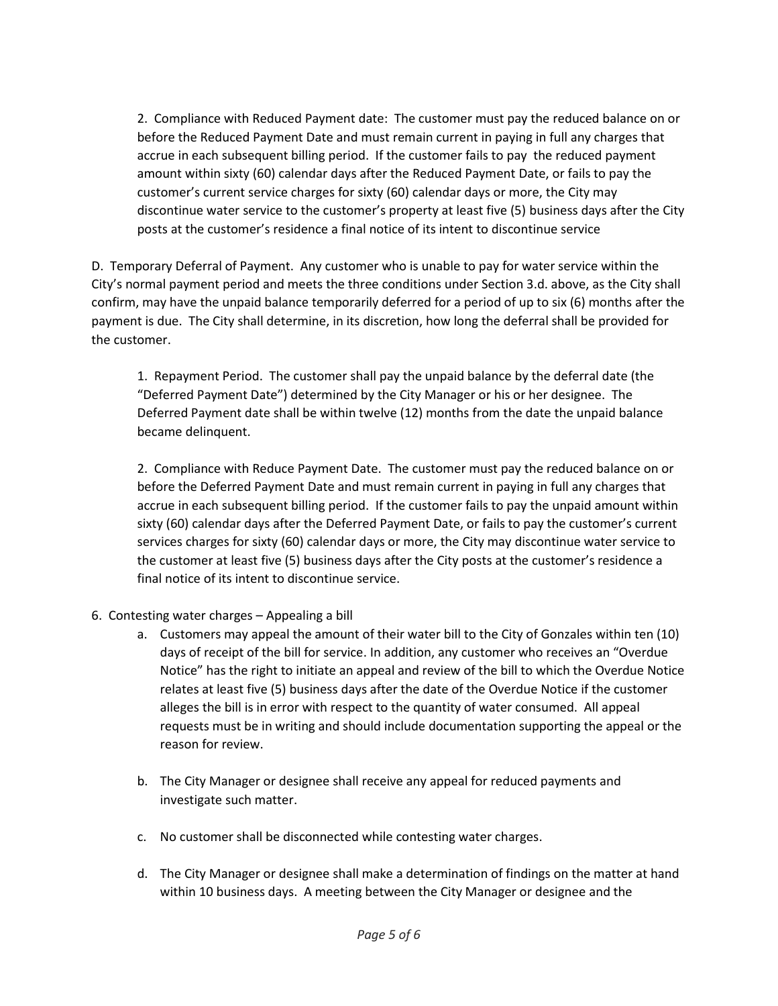2. Compliance with Reduced Payment date: The customer must pay the reduced balance on or before the Reduced Payment Date and must remain current in paying in full any charges that accrue in each subsequent billing period. If the customer fails to pay the reduced payment amount within sixty (60) calendar days after the Reduced Payment Date, or fails to pay the customer's current service charges for sixty (60) calendar days or more, the City may discontinue water service to the customer's property at least five (5) business days after the City posts at the customer's residence a final notice of its intent to discontinue service

D. Temporary Deferral of Payment. Any customer who is unable to pay for water service within the City's normal payment period and meets the three conditions under Section 3.d. above, as the City shall confirm, may have the unpaid balance temporarily deferred for a period of up to six (6) months after the payment is due. The City shall determine, in its discretion, how long the deferral shall be provided for the customer.

1. Repayment Period. The customer shall pay the unpaid balance by the deferral date (the "Deferred Payment Date") determined by the City Manager or his or her designee. The Deferred Payment date shall be within twelve (12) months from the date the unpaid balance became delinquent.

2. Compliance with Reduce Payment Date. The customer must pay the reduced balance on or before the Deferred Payment Date and must remain current in paying in full any charges that accrue in each subsequent billing period. If the customer fails to pay the unpaid amount within sixty (60) calendar days after the Deferred Payment Date, or fails to pay the customer's current services charges for sixty (60) calendar days or more, the City may discontinue water service to the customer at least five (5) business days after the City posts at the customer's residence a final notice of its intent to discontinue service.

- 6. Contesting water charges Appealing a bill
	- a. Customers may appeal the amount of their water bill to the City of Gonzales within ten (10) days of receipt of the bill for service. In addition, any customer who receives an "Overdue Notice" has the right to initiate an appeal and review of the bill to which the Overdue Notice relates at least five (5) business days after the date of the Overdue Notice if the customer alleges the bill is in error with respect to the quantity of water consumed. All appeal requests must be in writing and should include documentation supporting the appeal or the reason for review.
	- b. The City Manager or designee shall receive any appeal for reduced payments and investigate such matter.
	- c. No customer shall be disconnected while contesting water charges.
	- d. The City Manager or designee shall make a determination of findings on the matter at hand within 10 business days. A meeting between the City Manager or designee and the